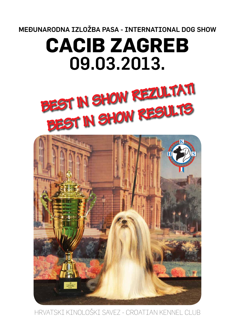MEĐUNARODNA IZLOŽBA PASA - INTERNATIONAL DOG SHOW

# **CACIB ZAGREB**  09.03.2013.





HRVATSKI KINOLOŠKI SAVEZ - CROATIAN KENNEL CLUB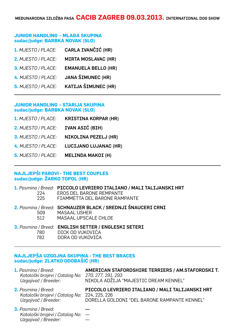# **JUNIOR HANDLING – MLAĐA SKUPINA sudac/judge: BARBKA NOVAK (SLO)**

| 1. MJESTO / PLACE: | CARLA IVANČIĆ (HR)         |
|--------------------|----------------------------|
| 2. MJESTO / PLACE: | <b>MIRTA MOSLAVAC (HR)</b> |
| 3. MJESTO / PLACE: | <b>EMANUELA BELLO (HR)</b> |
| 4. MJESTO / PLACE: | <b>JANA ŠIMUNEC (HR)</b>   |
| 5. MJESTO / PLACE: | <b>KATIJA ŠIMUNEC (HR)</b> |

# **JUNIOR HANDLING – STARIJA SKUPINA sudac/judge: BARBKA NOVAK (SLO)**

| 1. MJESTO / PLACE:        | <b>KRISTINA KORPAR (HR)</b>  |
|---------------------------|------------------------------|
| 2. MJESTO / PLACE:        | IVAN ASIĆ (BIH)              |
| 3. MJESTO / PLACE:        | <b>NIKOLINA PEZELJ (HR)</b>  |
| 4. MJESTO / PLACE:        | <b>LUCIJANO LUJANAC (HR)</b> |
| <b>5. MJESTO / PLACE:</b> | <b>MELINDA MAKOI (H)</b>     |

# **NAJLJEPŠI PAROVI - THE BEST COUPLES sudac/judge: ŽARKO TOPOL (HR)**

| 224<br>225 | 1. Pasmina / Breed: PICCOLO LEVRIERO ITALIANO / MALI TALIJANSKI HRT<br>EROS DEL BARONE REMPANTE<br>FIAMMETTA DEL BARONE RAMPANTE |
|------------|----------------------------------------------------------------------------------------------------------------------------------|
| 509 —      | 2. Pasmina / Breed: SCHNAUZER BLACK / SREDNJI ŠNAUCERI CRNI<br><b>MASAAL USHER</b><br>512 MASAAL UPSCALE CHLOE                   |
|            | 3. Pasmina / Breed: ENGLISH SETTER / ENGLESKI SETERI<br>780 DICK OD VUKOVIĆA<br>782 DORA OD VUKOVIĆA                             |

# **NAJLJEPŠA UZGOJNA SKUPINA - THE BEST BRACES sudac/judge: ZLATKO ODOBAŠIĆ (HR)**

| <b>1.</b> Pasmina / Breed:<br>Kataloški brojevi / Catalog No:<br>Uzgajivač / Breeder:               | AMERICAN STAFORDSHIRE TERRIERS / AM.STAFORDSKI T.<br>270, 277, 291, 293<br>NIKOLA ADŽIJA "MAJESTIC DREAM KENNEL" |
|-----------------------------------------------------------------------------------------------------|------------------------------------------------------------------------------------------------------------------|
| <b>2.</b> Pasmina / Breed:<br>Kataloški brojevi / Catalog No: 224, 225, 226<br>Uzgajivač / Breeder: | PICCOLO LEVRIERO ITALIANO / MALI TALIJANSKI HRT<br>DORELLA GOLDONI "DEL BARONE RAMPANTE KENNEL"                  |
| <b>3.</b> Pasmina / Breed:<br>Kataločki brojovi / Catalog Nov                                       |                                                                                                                  |

*Kataloški brojevi / Catalog No:* --- Uzgajivač / Breeder: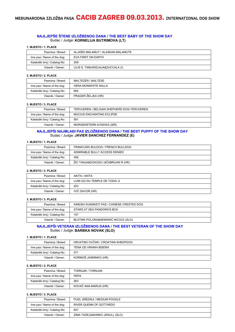# **NAJLJEPŠE ŠTENE IZLOŽBENOG DANA / THE BEST BABY OF THE SHOW DAY** Sudac / Judge: **KORNELIJA BUTRIMOVA (LT)**

#### **1. MJESTO / 1. PLACE**

| Pasmina / Breed:             | ALJAŠKI MALAMUT / ALASKAN MALAMUTE |
|------------------------------|------------------------------------|
| Ime psa / Name of the dog:   | EVA FIRST ON EARTH                 |
| Kataloški broj / Catalog No: | 209                                |
| Vlasnik / Owner:             | LILIS S. TANUWIDJAJA&ZUCCALA (I)   |

## **2. MJESTO / 2. PLACE**

| Pasmina / Breed:             | MALTEZER / MALTESE         |
|------------------------------|----------------------------|
| Ime psa / Name of the dog:   | <b>HERA MONWHITE NALLA</b> |
| Kataloški broj / Catalog No: | 684                        |
| Vlasnik / Owner:             | PRAGER ŽELJKA (HR)         |

#### **3. MJESTO / 3. PLACE**

| Pasmina / Breed:             | TERVUEREN / BELGIAN SHEPHERD DOG-TERVUEREN |
|------------------------------|--------------------------------------------|
| Ime psa / Name of the dog:   | <b>MUCIUS ENCHANTING ECLIPSE</b>           |
| Kataloški broj / Catalog No: | 581                                        |
| Vlasnik / Owner:             | MORGENSTERN AVISHAG (ISR)                  |

## **NAJLJEPŠI NAJMLAĐI PAS IZLOŽBENOG DANA / THE BEST PUPPY OF THE SHOW DAY** Sudac / Judge: **JAVIER SANCHEZ FERNANDEZ (E)**

## **1. MJESTO / 1. PLACE**

| Pasmina / Breed:             | FRANCUSKI BULDOG / FRENCH BULLDOG   |
|------------------------------|-------------------------------------|
| Ime psa / Name of the dog:   | ADMIRABLE BULLY ACCESS DENIED       |
| Kataloški broj / Catalog No: | 406                                 |
| Vlasnik / Owner:             | ŽIC TANJA&DOKOZA I.&ČABRIJAN R (HR) |

#### **2. MJESTO / 2. PLACE**

| Pasmina / Breed:             | AKITA / AKITA                 |
|------------------------------|-------------------------------|
| Ime psa / Name of the dog:   | LUMI GO DU TEMPLE DE TODAI JI |
| Kataloški broj / Catalog No: | 203                           |
| Vlasnik / Owner:             | IVIĆ DAVOR (HR)               |

#### **3. MJESTO / 3. PLACE**

| Pasmina / Breed:             | KINESKI KUKMASTI PAS / CHINESE CRESTED DOG |
|------------------------------|--------------------------------------------|
| Ime psa / Name of the dog:   | STARS AT SEA PANDORA'S BOX                 |
| Kataloški broj / Catalog No: | 157                                        |
| Vlasnik / Owner:             | BLATNIK POLONA&NEMANIČ NICOLE (SLO)        |

# **NAJLJEPŠI VETERAN IZLOŽBENOG DANA / THE BEST VETERAN OF THE SHOW DAY** Sudac / Judge: **BARBKA NOVAK (SLO)**

## **1. MJESTO / 1. PLACE**

| Pasmina / Breed:             | HRVATSKI OVČAR / CROATIAN SHEEPDOG |
|------------------------------|------------------------------------|
| Ime psa / Name of the dog:   | TENA OD VRANIH BISERA              |
| Kataloški broj / Catalog No: | 571                                |
| Vlasnik / Owner:             | KORMOŠ JASMINKO (HR)               |

**2. MJESTO / 2. PLACE**

| Pasmina / Breed:             | TORNJAK / TORNJAK     |
|------------------------------|-----------------------|
| Ime psa / Name of the dog:   | <b>PEPA</b>           |
| Kataloški broj / Catalog No: | 563                   |
| Vlasnik / Owner:             | KOVAČ ANA-MARIJA (HR) |

| Pasmina / Breed:             | PUDL SREDNJI / MEDIUM POODLE   |
|------------------------------|--------------------------------|
| Ime psa / Name of the dog:   | RIVER QUENN OF GOTTARDO        |
| Kataloški broj / Catalog No: | 647                            |
| Vlasnik / Owner:             | ZIMA TADEJA&HINKO JENULL (SLO) |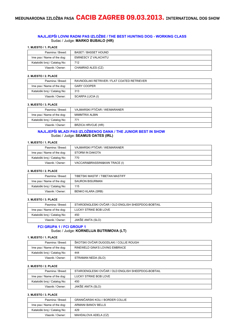# **NAJLJEPŠI LOVNI RADNI PAS IZLOŽBE / THE BEST HUNTING DOG - WORKING CLASS** Sudac / Judge: **MARKO BUBALO (HR)**

#### **1. MJESTO / 1. PLACE**

| Pasmina / Breed:             | BASET / BASSET HOUND |
|------------------------------|----------------------|
| Ime psa / Name of the dog:   | EMINESCY Z VALACHITU |
| Kataloški broj / Catalog No: | 712                  |
| Vlasnik / Owner:             | CHAMRAD ALES (CZ)    |

#### **2. MJESTO / 2. PLACE**

| Pasmina / Breed:             | RAVNODLAKI RETRIVER / FLAT COATED RETRIEVER |
|------------------------------|---------------------------------------------|
| Ime psa / Name of the dog:   | <b>GARY COOPER</b>                          |
| Kataloški broj / Catalog No: | 313                                         |
| Vlasnik / Owner:             | SCARPA LUCIA (I)                            |

#### **3. MJESTO / 3. PLACE**

| Pasmina / Breed:             | VAJMARSKI PTIČAR / WEIMARANER |
|------------------------------|-------------------------------|
| Ime psa / Name of the dog:   | MIMMTRIX ALBIN                |
| Kataloški broj / Catalog No: | 771                           |
| Vlasnik / Owner:             | BRZICA HRVOJE (HR)            |

#### **NAJLJEPŠI MLADI PAS IZLOŽBENOG DANA / THE JUNIOR BEST IN SHOW** Sudac / Judge: **SEAMUS OATES (IRL)**

### **1. MJESTO / 1. PLACE**

| Pasmina / Breed:             | VAJMARSKI PTIČAR / WEIMARANER  |
|------------------------------|--------------------------------|
| Ime psa / Name of the dog:   | STORM IN DAKOTA                |
| Kataloški broj / Catalog No: | 770                            |
| Vlasnik / Owner:             | VACCARI&BRASSINI&KAN TRACE (I) |

#### **2. MJESTO / 2. PLACE**

| Pasmina / Breed:             | TIBETSKI MASTIF / TIBETAN MASTIFF |
|------------------------------|-----------------------------------|
| Ime psa / Name of the dog:   | <b>SAURON BISURMAN</b>            |
| Kataloški broj / Catalog No: | 115                               |
| Vlasnik / Owner:             | BENKO KLARA (SRB)                 |

#### **3. MJESTO / 3. PLACE**

| Pasmina / Breed:             | STAROENGLESKI OVČAR / OLD ENGLISH SHEEPDOG-BOBTAIL |
|------------------------------|----------------------------------------------------|
| Ime psa / Name of the dog:   | LUCKY STRIKE BOB LOVE                              |
| Kataloški broj / Catalog No: | 450                                                |
| Vlasnik / Owner:             | JAKŠE ANITA (SLO)                                  |

# **FCI GRUPA 1 / FCI GROUP 1** Sudac / Judge: **KORNELIJA BUTRIMOVA (LT)**

# **1. MJESTO / 1. PLACE**

| Pasmina / Breed:             | ŠKOTSKI OVČAR DUGODLAKI / COLLIE ROUGH |
|------------------------------|----------------------------------------|
| Ime psa / Name of the dog:   | RINEWELD GINA'S LOVING EMBRACE         |
| Kataloški broj / Catalog No: | 444                                    |
| Vlasnik / Owner:             | STRAMAN NEDA (SLO)                     |

#### **2. MJESTO / 2. PLACE**

| Pasmina / Breed:             | STAROENGLESKI OVČAR / OLD ENGLISH SHEEPDOG-BOBTAIL |
|------------------------------|----------------------------------------------------|
| Ime psa / Name of the dog:   | LUCKY STRIKE BOB LOVE                              |
| Kataloški broj / Catalog No: | 450                                                |
| Vlasnik / Owner:             | JAKŠE ANITA (SLO)                                  |

| Pasmina / Breed:             | GRANIČARSKI KOLI / BORDER COLLIE |
|------------------------------|----------------------------------|
| Ime psa / Name of the dog:   | ARMANI BANOV BELLS               |
| Kataloški broj / Catalog No: | 429                              |
| Vlasnik / Owner:             | MAHDALOVA ADELA (CZ)             |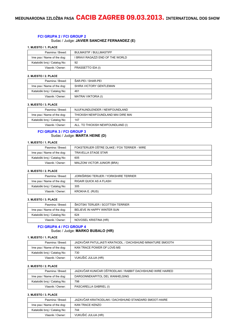# **FCI GRUPA 2 / FCI GROUP 2**

# Sudac / Judge: **JAVIER SANCHEZ FERNANDEZ (E)**

#### **1. MJESTO / 1. PLACE**

| Pasmina / Breed:             | <b>BULMASTIF / BULLMASTIFF</b>   |
|------------------------------|----------------------------------|
| Ime psa / Name of the dog:   | I BRAVI RAGAZZI END OF THE WORLD |
| Kataloški broj / Catalog No: | 92                               |
| Vlasnik / Owner:             | FRASSETTO IDA (I)                |

#### **2. MJESTO / 2. PLACE**

| Pasmina / Breed:             | ŠAR-PEI / SHAR-PEI      |
|------------------------------|-------------------------|
| Ime psa / Name of the dog:   | SHIRA VICTORY GENTLEMAN |
| Kataloški broj / Catalog No: | 461                     |
| Vlasnik / Owner:             | MATRAI VIKTORIA (I)     |

#### **3. MJESTO / 3. PLACE**

| Pasmina / Breed:             | NJUFAUNDLENDER / NEWFOUNDLAND      |
|------------------------------|------------------------------------|
| Ime psa / Name of the dog:   | THICKISH NEWFOUNDLAND MAI DIRE MAI |
| Kataloški broj / Catalog No: | 147                                |
| Vlasnik / Owner:             | ALL. TO THICKISH NEWFOUNDLAND (I)  |

#### **FCI GRUPA 3 / FCI GROUP 3** Sudac / Judge: **MARTA HEINE (D)**

### **1. MJESTO / 1. PLACE**

| Pasmina / Breed:             | FOKSTERIJER OŠTRE DLAKE / FOX TERRIER - WIRE |
|------------------------------|----------------------------------------------|
| Ime psa / Name of the dog:   | TRAVELLA STAGE STAR                          |
| Kataloški broj / Catalog No: | 605                                          |
| Vlasnik / Owner:             | MALZONI VICTOR JUNIOR (BRA)                  |

#### **2. MJESTO / 2. PLACE**

| Pasmina / Breed:             | JORKŠIRSKI TERIJER / YORKSHIRE TERRIER |
|------------------------------|----------------------------------------|
| Ime psa / Name of the dog:   | RIGAIR QUICK AS A FLASH                |
| Kataloški broj / Catalog No: | 305                                    |
| Vlasnik / Owner:             | KROKHA E. (RUS)                        |

#### **3. MJESTO / 3. PLACE**

| Pasmina / Breed:             | ŠKOTSKI TERIJER / SCOTTISH TERRIER |
|------------------------------|------------------------------------|
| Ime psa / Name of the dog:   | BELIEVE IN HAPPY WINTER SUN        |
| Kataloški broj / Catalog No: | 624                                |
| Vlasnik / Owner:             | NOVOSEL KRISTINA (HR)              |

### **FCI GRUPA 4 / FCI GROUP 4** Sudac / Judge: **MARKO BUBALO (HR)**

## **1. MJESTO / 1. PLACE**

| Pasmina / Breed:             | JAZAVČAR PATULJASTI KRATKODL. / DACHSHUND MINIATURE SMOOTH |
|------------------------------|------------------------------------------------------------|
| Ime psa / Name of the dog:   | KAN TRACE POWER OF LOVE-MS                                 |
| Kataloški broj / Catalog No: | 730                                                        |
| Vlasnik / Owner:             | VUKUŠIĆ JULIJA (HR)                                        |

#### **2. MJESTO / 2. PLACE**

| Pasmina / Breed:             | JAZAVČAR KUNIĆAR OŠTRODLAKI / RABBIT DACHSHUND WIRE HAIRED |
|------------------------------|------------------------------------------------------------|
| Ime psa / Name of the dog:   | DARGONNEKAPITOL DEL WANHELSING                             |
| Kataloški broj / Catalog No: | 798                                                        |
| Vlasnik / Owner:             | PASCARELLA GABRIEL (I)                                     |

| Pasmina / Breed:             | JAZAVČAR KRATKODLAKI / DACHSHUND STANDARD SMOOT-HAIRE |
|------------------------------|-------------------------------------------------------|
| Ime psa / Name of the dog:   | KAN TRACE KENZO                                       |
| Kataloški broj / Catalog No: | 744                                                   |
| Vlasnik / Owner:             | VUKUŠIĆ JULIJA (HR)                                   |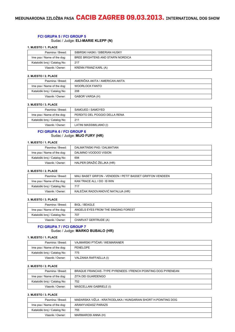# **FCI GRUPA 5 / FCI GROUP 5**

# Sudac / Judge: **ELI-MARIE KLEPP (N)**

#### **1. MJESTO / 1. PLACE**

| Pasmina / Breed:             | SIBIRSKI HASKI / SIBERIAN HUSKY   |
|------------------------------|-----------------------------------|
| Ime psa / Name of the dog:   | BREE BRIGHTENS AND STAR'N NORDICA |
| Kataloški broj / Catalog No: | 217                               |
| Vlasnik / Owner:             | KRENN FRANZ KARL (A)              |

#### **2. MJESTO / 2. PLACE**

| Pasmina / Breed:             | AMERIČKA AKITA / AMERICAN AKITA |
|------------------------------|---------------------------------|
| Ime psa / Name of the dog:   | WOORLOCK FANTO                  |
| Kataloški broj / Catalog No: | 208                             |
| Vlasnik / Owner:             | GABOR VARGA (H)                 |

#### **3. MJESTO / 3. PLACE**

| Pasmina / Breed:             | SAMOJED / SAMOYED             |
|------------------------------|-------------------------------|
| Ime psa / Name of the dog:   | PERDITO DEL POGGIO DELLA RENA |
| Kataloški broj / Catalog No: | 211                           |
| Vlasnik / Owner:             | LATINI MASSIMILIANO (I)       |

#### **FCI GRUPA 6 / FCI GROUP 6** Sudac / Judge: **MIJO FURY (HR)**

# **1. MJESTO / 1. PLACE**

| Pasmina / Breed:             | DALMATINSKI PAS / DALMATIAN |
|------------------------------|-----------------------------|
| Ime psa / Name of the dog:   | DALMINO VOODOO VISION       |
| Kataloški broj / Catalog No: | 694                         |
| Vlasnik / Owner:             | HALPER DRAŽIĆ ŽELJKA (HR)   |

# **2. MJESTO / 2. PLACE**

| Pasmina / Breed:             | MALI BASET GRIFON - VENDEEN / PETIT BASSET GRIFFON VENDEEN |
|------------------------------|------------------------------------------------------------|
| Ime psa / Name of the dog:   | KAN TRACE ALL I DO IS WIN                                  |
| Kataloški broj / Catalog No: | 717                                                        |
| Vlasnik / Owner:             | KALEČAK RADOVANOVIĆ NATALIJA (HR)                          |

#### **3. MJESTO / 3. PLACE**

| Pasmina / Breed:             | BIGL / BEAGLE                       |
|------------------------------|-------------------------------------|
| Ime psa / Name of the dog:   | ANGELS EYES FROM THE SINGING FOREST |
| Kataloški broj / Catalog No: | 707                                 |
| Vlasnik / Owner:             | CHARVAT GERTRUDE (A)                |

# **FCI GRUPA 7 / FCI GROUP 7** Sudac / Judge: **MARKO BUBALO (HR)**

#### **1. MJESTO / 1. PLACE**

| Pasmina / Breed:             | VAJMARSKI PTIČAR / WEIMARANER |
|------------------------------|-------------------------------|
| Ime psa / Name of the dog:   | PENELOPE                      |
| Kataloški broj / Catalog No: | 775                           |
| Vlasnik / Owner:             | VALZANIA RAFFAELLA (I)        |

#### **2. MJESTO / 2. PLACE**

| Pasmina / Breed:             | BRAQUE FRANCAIS - TYPE PYRENEES / FRENCH POINTING DOG PYRENEAN |
|------------------------------|----------------------------------------------------------------|
| Ime psa / Name of the dog:   | ZITA DEI GUARDENGO                                             |
| Kataloški broj / Catalog No: | 752                                                            |
| Vlasnik / Owner:             | MASCELLANI GABRIELE (I)                                        |

| Pasmina / Breed:             | MAĐARSKA VIŽLA - KRATKODLAKA / HUNGARIAN SHORT H.POINTING DOG |
|------------------------------|---------------------------------------------------------------|
| Ime psa / Name of the dog:   | ARANYVADASZ PARAZS                                            |
| Kataloški broj / Catalog No: | 755                                                           |
| Vlasnik / Owner:             | MARMAROSI ANNA (H)                                            |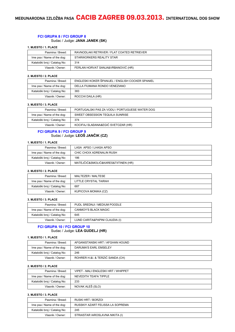# **FCI GRUPA 8 / FCI GROUP 8**

# Sudac / Judge: **JANA JANEK (SK)**

#### **1. MJESTO / 1. PLACE**

| Pasmina / Breed:             | RAVNODLAKI RETRIVER / FLAT COATED RETRIEVER |
|------------------------------|---------------------------------------------|
| Ime psa / Name of the dog:   | STARWORKERS REALITY STAR                    |
| Kataloški broj / Catalog No: | 314                                         |
| Vlasnik / Owner:             | FERLAN HORVAT SANJA&VRBANOVIĆ (HR)          |

#### **2. MJESTO / 2. PLACE**

| Pasmina / Breed:             | ENGLESKI KOKER ŠPANIJEL / ENGLISH COCKER SPANIEL |
|------------------------------|--------------------------------------------------|
| Ime psa / Name of the dog:   | DELLA FIUMANA RONDO VENEZIANO                    |
| Kataloški broj / Catalog No: | 383                                              |
| Vlasnik / Owner:             | ROCCHI DAILA (HR)                                |

#### **3. MJESTO / 3. PLACE**

| Pasmina / Breed:             | PORTUGALSKI PAS ZA VODU / PORTUGUESE WATER DOG |
|------------------------------|------------------------------------------------|
| Ime psa / Name of the dog:   | SWEET OBSESSION TEQUILA SUNRISE                |
| Kataloški broj / Catalog No: | 374                                            |
| Vlasnik / Owner:             | KOCIFAJ SLAĐANA&EGIĆ SVETOZAR (HR)             |

## **FCI GRUPA 9 / FCI GROUP 9** Sudac / Judge: **LEOŠ JANČIK (CZ)**

# **1. MJESTO / 1. PLACE**

| Pasmina / Breed:             | LASA APSO / LHASA APSO              |
|------------------------------|-------------------------------------|
| Ime psa / Name of the dog:   | CHIC CHOIX ADRENALIN RUSH           |
| Kataloški broj / Catalog No: | 186                                 |
| Vlasnik / Owner:             | MATEJČIĆ&SMOLIĆ&KARES&TIITINEN (HR) |

#### **2. MJESTO / 2. PLACE**

| Pasmina / Breed:             | MALTEZER / MALTESE    |
|------------------------------|-----------------------|
| Ime psa / Name of the dog:   | LITTLE CRYSTAL TAIRAH |
| Kataloški broj / Catalog No: | 687                   |
| Vlasnik / Owner:             | KUPICOVA MONIKA (CZ)  |

#### **3. MJESTO / 3. PLACE**

| Pasmina / Breed:             | PUDL SREDNJI / MEDIUM POODLE   |
|------------------------------|--------------------------------|
| Ime psa / Name of the dog:   | CANMOY'S BLACK MAGIC           |
| Kataloški broj / Catalog No: | 645                            |
| Vlasnik / Owner:             | LUND CARITA&PAPINI CLAUDIA (I) |

#### **FCI GRUPA 10 / FCI GROUP 10** Sudac / Judge: **LEA GUDELJ (HR)**

## **1. MJESTO / 1. PLACE**

| Pasmina / Breed:             | AFGANISTANSKI HRT / AFGHAN HOUND |
|------------------------------|----------------------------------|
| Ime psa / Name of the dog:   | DARUMA'S EARL EMSELEY            |
| Kataloški broj / Catalog No: | 246                              |
| Vlasnik / Owner:             | ROHRER H.&I. & TERZIĆ SANDA (CH) |

#### **2. MJESTO / 2. PLACE**

| Pasmina / Breed:             | VIPET - MALI ENGLESKI HRT / WHIPPET |
|------------------------------|-------------------------------------|
| Ime psa / Name of the dog:   | NEVEDITH TEAFA TIPPLE               |
| Kataloški broj / Catalog No: | 233                                 |
| Vlasnik / Owner:             | NOVAK ALEŠ (SLO)                    |

| Pasmina / Breed:             | RUSKI HRT / BORZOL               |
|------------------------------|----------------------------------|
| Ime psa / Name of the dog:   | RUSSKIY AZART FELISSA LA SOPREMA |
| Kataloški broj / Catalog No: | 245                              |
| Vlasnik / Owner:             | STRAISTAR IAROSLAVNA NIKITA (I)  |